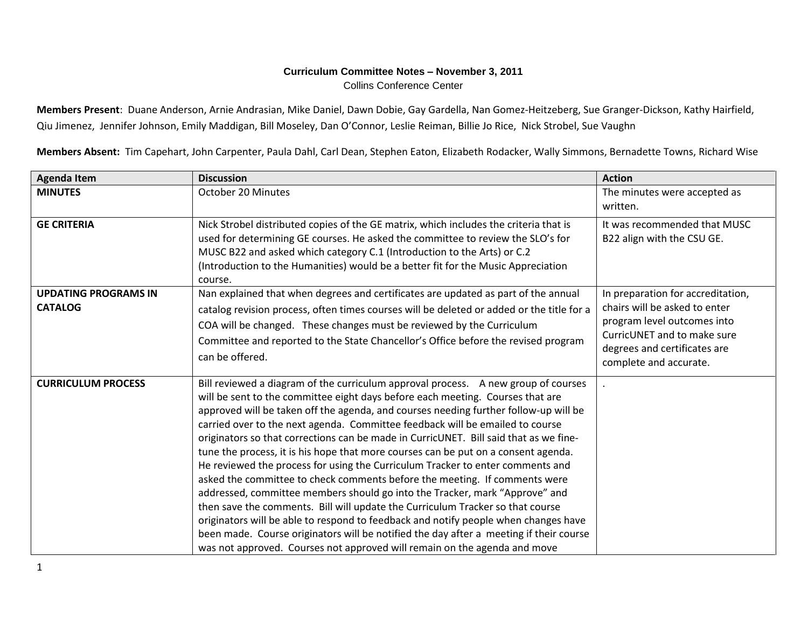## **Curriculum Committee Notes – November 3, 2011** Collins Conference Center

**Members Present**: Duane Anderson, Arnie Andrasian, Mike Daniel, Dawn Dobie, Gay Gardella, Nan Gomez-Heitzeberg, Sue Granger-Dickson, Kathy Hairfield, Qiu Jimenez, Jennifer Johnson, Emily Maddigan, Bill Moseley, Dan O'Connor, Leslie Reiman, Billie Jo Rice, Nick Strobel, Sue Vaughn

**Members Absent:** Tim Capehart, John Carpenter, Paula Dahl, Carl Dean, Stephen Eaton, Elizabeth Rodacker, Wally Simmons, Bernadette Towns, Richard Wise

| <b>Agenda Item</b>                            | <b>Discussion</b>                                                                                                                                                                                                                                                                                                                                                                                                                                                                                                                                                                                                                                                                                                                                                                                                                                                                                                                                                                                                                                                                                                           | <b>Action</b>                                                                                                                                                                              |
|-----------------------------------------------|-----------------------------------------------------------------------------------------------------------------------------------------------------------------------------------------------------------------------------------------------------------------------------------------------------------------------------------------------------------------------------------------------------------------------------------------------------------------------------------------------------------------------------------------------------------------------------------------------------------------------------------------------------------------------------------------------------------------------------------------------------------------------------------------------------------------------------------------------------------------------------------------------------------------------------------------------------------------------------------------------------------------------------------------------------------------------------------------------------------------------------|--------------------------------------------------------------------------------------------------------------------------------------------------------------------------------------------|
| <b>MINUTES</b>                                | October 20 Minutes                                                                                                                                                                                                                                                                                                                                                                                                                                                                                                                                                                                                                                                                                                                                                                                                                                                                                                                                                                                                                                                                                                          | The minutes were accepted as                                                                                                                                                               |
|                                               |                                                                                                                                                                                                                                                                                                                                                                                                                                                                                                                                                                                                                                                                                                                                                                                                                                                                                                                                                                                                                                                                                                                             | written.                                                                                                                                                                                   |
| <b>GE CRITERIA</b>                            | Nick Strobel distributed copies of the GE matrix, which includes the criteria that is<br>used for determining GE courses. He asked the committee to review the SLO's for<br>MUSC B22 and asked which category C.1 (Introduction to the Arts) or C.2<br>(Introduction to the Humanities) would be a better fit for the Music Appreciation<br>course.                                                                                                                                                                                                                                                                                                                                                                                                                                                                                                                                                                                                                                                                                                                                                                         | It was recommended that MUSC<br>B22 align with the CSU GE.                                                                                                                                 |
| <b>UPDATING PROGRAMS IN</b><br><b>CATALOG</b> | Nan explained that when degrees and certificates are updated as part of the annual<br>catalog revision process, often times courses will be deleted or added or the title for a<br>COA will be changed. These changes must be reviewed by the Curriculum<br>Committee and reported to the State Chancellor's Office before the revised program<br>can be offered.                                                                                                                                                                                                                                                                                                                                                                                                                                                                                                                                                                                                                                                                                                                                                           | In preparation for accreditation,<br>chairs will be asked to enter<br>program level outcomes into<br>CurricUNET and to make sure<br>degrees and certificates are<br>complete and accurate. |
| <b>CURRICULUM PROCESS</b>                     | Bill reviewed a diagram of the curriculum approval process. A new group of courses<br>will be sent to the committee eight days before each meeting. Courses that are<br>approved will be taken off the agenda, and courses needing further follow-up will be<br>carried over to the next agenda. Committee feedback will be emailed to course<br>originators so that corrections can be made in CurricUNET. Bill said that as we fine-<br>tune the process, it is his hope that more courses can be put on a consent agenda.<br>He reviewed the process for using the Curriculum Tracker to enter comments and<br>asked the committee to check comments before the meeting. If comments were<br>addressed, committee members should go into the Tracker, mark "Approve" and<br>then save the comments. Bill will update the Curriculum Tracker so that course<br>originators will be able to respond to feedback and notify people when changes have<br>been made. Course originators will be notified the day after a meeting if their course<br>was not approved. Courses not approved will remain on the agenda and move |                                                                                                                                                                                            |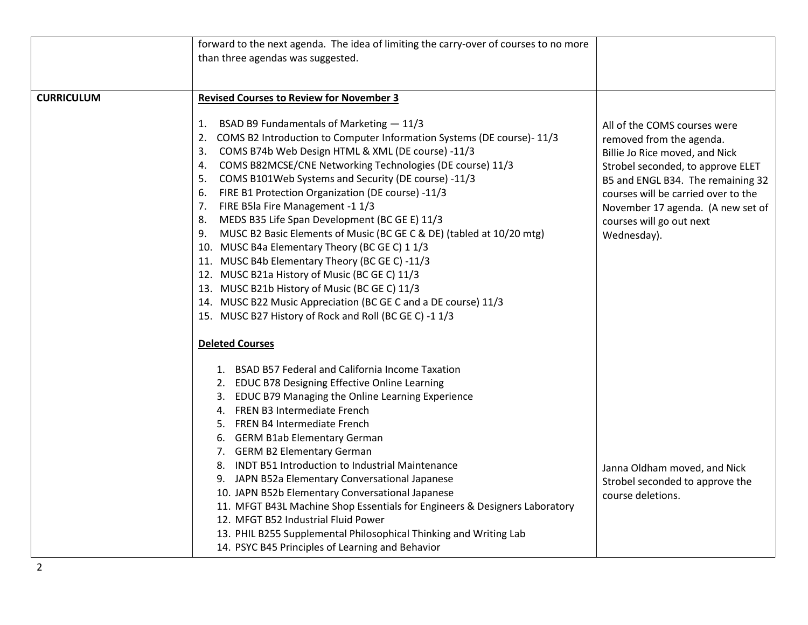|                   | forward to the next agenda. The idea of limiting the carry-over of courses to no more                                                                                                                                                                                                                                                                                                                                                                                                                                                                                                                                                                                                                                                                                                                                                                                                                |                                                                                                                                                                                                                                                                                             |
|-------------------|------------------------------------------------------------------------------------------------------------------------------------------------------------------------------------------------------------------------------------------------------------------------------------------------------------------------------------------------------------------------------------------------------------------------------------------------------------------------------------------------------------------------------------------------------------------------------------------------------------------------------------------------------------------------------------------------------------------------------------------------------------------------------------------------------------------------------------------------------------------------------------------------------|---------------------------------------------------------------------------------------------------------------------------------------------------------------------------------------------------------------------------------------------------------------------------------------------|
|                   | than three agendas was suggested.                                                                                                                                                                                                                                                                                                                                                                                                                                                                                                                                                                                                                                                                                                                                                                                                                                                                    |                                                                                                                                                                                                                                                                                             |
|                   |                                                                                                                                                                                                                                                                                                                                                                                                                                                                                                                                                                                                                                                                                                                                                                                                                                                                                                      |                                                                                                                                                                                                                                                                                             |
|                   |                                                                                                                                                                                                                                                                                                                                                                                                                                                                                                                                                                                                                                                                                                                                                                                                                                                                                                      |                                                                                                                                                                                                                                                                                             |
| <b>CURRICULUM</b> | <b>Revised Courses to Review for November 3</b>                                                                                                                                                                                                                                                                                                                                                                                                                                                                                                                                                                                                                                                                                                                                                                                                                                                      |                                                                                                                                                                                                                                                                                             |
|                   | BSAD B9 Fundamentals of Marketing - 11/3<br>1.<br>COMS B2 Introduction to Computer Information Systems (DE course)-11/3<br>2.<br>COMS B74b Web Design HTML & XML (DE course) -11/3<br>3.<br>COMS B82MCSE/CNE Networking Technologies (DE course) 11/3<br>4.<br>COMS B101Web Systems and Security (DE course) -11/3<br>5.<br>FIRE B1 Protection Organization (DE course) -11/3<br>6.<br>FIRE B5la Fire Management -1 1/3<br>7.<br>MEDS B35 Life Span Development (BC GE E) 11/3<br>8.<br>MUSC B2 Basic Elements of Music (BC GE C & DE) (tabled at 10/20 mtg)<br>9.<br>10. MUSC B4a Elementary Theory (BC GE C) 1 1/3<br>11. MUSC B4b Elementary Theory (BC GE C) -11/3<br>12. MUSC B21a History of Music (BC GE C) 11/3<br>13. MUSC B21b History of Music (BC GE C) 11/3<br>14. MUSC B22 Music Appreciation (BC GE C and a DE course) 11/3<br>15. MUSC B27 History of Rock and Roll (BC GE C) -1 1/3 | All of the COMS courses were<br>removed from the agenda.<br>Billie Jo Rice moved, and Nick<br>Strobel seconded, to approve ELET<br>B5 and ENGL B34. The remaining 32<br>courses will be carried over to the<br>November 17 agenda. (A new set of<br>courses will go out next<br>Wednesday). |
|                   | <b>Deleted Courses</b>                                                                                                                                                                                                                                                                                                                                                                                                                                                                                                                                                                                                                                                                                                                                                                                                                                                                               |                                                                                                                                                                                                                                                                                             |
|                   | 1. BSAD B57 Federal and California Income Taxation<br>2. EDUC B78 Designing Effective Online Learning<br>3. EDUC B79 Managing the Online Learning Experience<br>4. FREN B3 Intermediate French<br>5. FREN B4 Intermediate French<br>6. GERM B1ab Elementary German<br>7. GERM B2 Elementary German<br>8. INDT B51 Introduction to Industrial Maintenance<br>9. JAPN B52a Elementary Conversational Japanese<br>10. JAPN B52b Elementary Conversational Japanese<br>11. MFGT B43L Machine Shop Essentials for Engineers & Designers Laboratory<br>12. MFGT B52 Industrial Fluid Power<br>13. PHIL B255 Supplemental Philosophical Thinking and Writing Lab<br>14. PSYC B45 Principles of Learning and Behavior                                                                                                                                                                                        | Janna Oldham moved, and Nick<br>Strobel seconded to approve the<br>course deletions.                                                                                                                                                                                                        |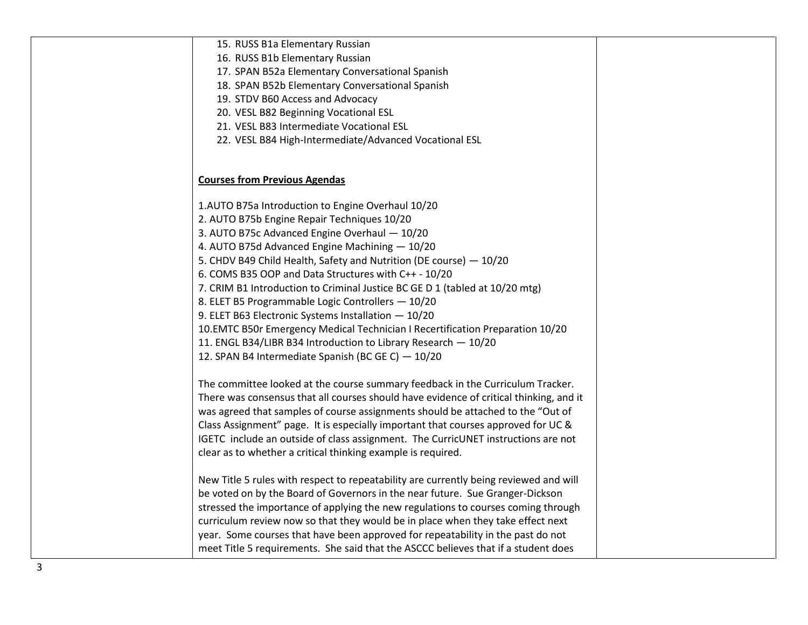| 15. RUSS B1a Elementary Russian<br>16. RUSS B1b Elementary Russian                                                                    |  |
|---------------------------------------------------------------------------------------------------------------------------------------|--|
| 17. SPAN B52a Elementary Conversational Spanish                                                                                       |  |
| 18. SPAN B52b Elementary Conversational Spanish                                                                                       |  |
| 19. STDV B60 Access and Advocacy                                                                                                      |  |
| 20. VESL B82 Beginning Vocational ESL                                                                                                 |  |
| 21. VESL B83 Intermediate Vocational ESL                                                                                              |  |
| 22. VESL B84 High-Intermediate/Advanced Vocational ESL                                                                                |  |
| <b>Courses from Previous Agendas</b>                                                                                                  |  |
| 1.AUTO B75a Introduction to Engine Overhaul 10/20                                                                                     |  |
| 2. AUTO B75b Engine Repair Techniques 10/20                                                                                           |  |
| 3. AUTO B75c Advanced Engine Overhaul - 10/20                                                                                         |  |
| 4. AUTO B75d Advanced Engine Machining - 10/20                                                                                        |  |
| 5. CHDV B49 Child Health, Safety and Nutrition (DE course) - 10/20                                                                    |  |
| 6. COMS B35 OOP and Data Structures with C++ - 10/20                                                                                  |  |
| 7. CRIM B1 Introduction to Criminal Justice BC GE D 1 (tabled at 10/20 mtg)                                                           |  |
| 8. ELET B5 Programmable Logic Controllers - 10/20                                                                                     |  |
| 9. ELET B63 Electronic Systems Installation - 10/20<br>10. EMTC B50r Emergency Medical Technician I Recertification Preparation 10/20 |  |
| 11. ENGL B34/LIBR B34 Introduction to Library Research - 10/20                                                                        |  |
| 12. SPAN B4 Intermediate Spanish (BC GE C) - 10/20                                                                                    |  |
| The committee looked at the course summary feedback in the Curriculum Tracker.                                                        |  |
| There was consensus that all courses should have evidence of critical thinking, and it                                                |  |
| was agreed that samples of course assignments should be attached to the "Out of                                                       |  |
| Class Assignment" page. It is especially important that courses approved for UC &                                                     |  |
| IGETC include an outside of class assignment. The CurricUNET instructions are not                                                     |  |
| clear as to whether a critical thinking example is required.                                                                          |  |
| New Title 5 rules with respect to repeatability are currently being reviewed and will                                                 |  |
| be voted on by the Board of Governors in the near future. Sue Granger-Dickson                                                         |  |
| stressed the importance of applying the new regulations to courses coming through                                                     |  |
| curriculum review now so that they would be in place when they take effect next                                                       |  |
| year. Some courses that have been approved for repeatability in the past do not                                                       |  |
| meet Title 5 requirements. She said that the ASCCC believes that if a student does                                                    |  |